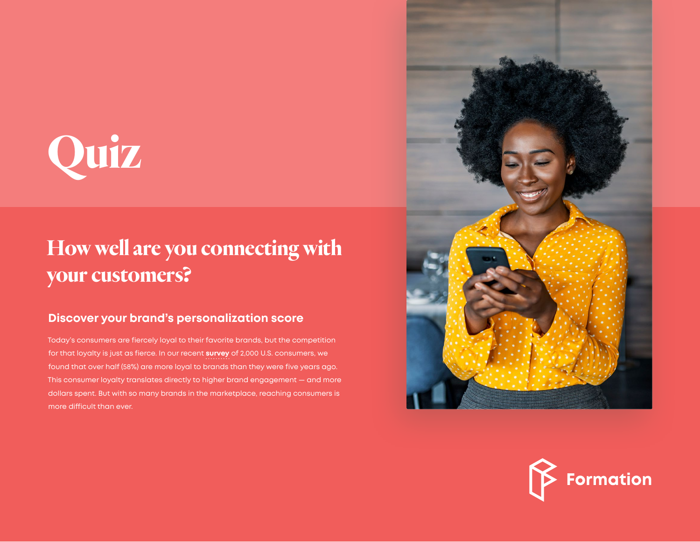

## **How well are you connecting with your customers?**

## **Discover your brand's personalization score**

Today's consumers are fiercely loyal to their favorite brands, but the competition for that loyalty is just as fierce. In our recent **survey** [of 2,000 U.S. consume](https://formation.ai/brand-loyalty-2020-the-need-for-hyper-individualization/)rs, we found that over half (58%) are more loyal to brands than they were five years ago. This consumer loyalty translates directly to higher brand engagement — and more dollars spent. But with so many brands in the marketplace, reaching consumers is more difficult than ever.